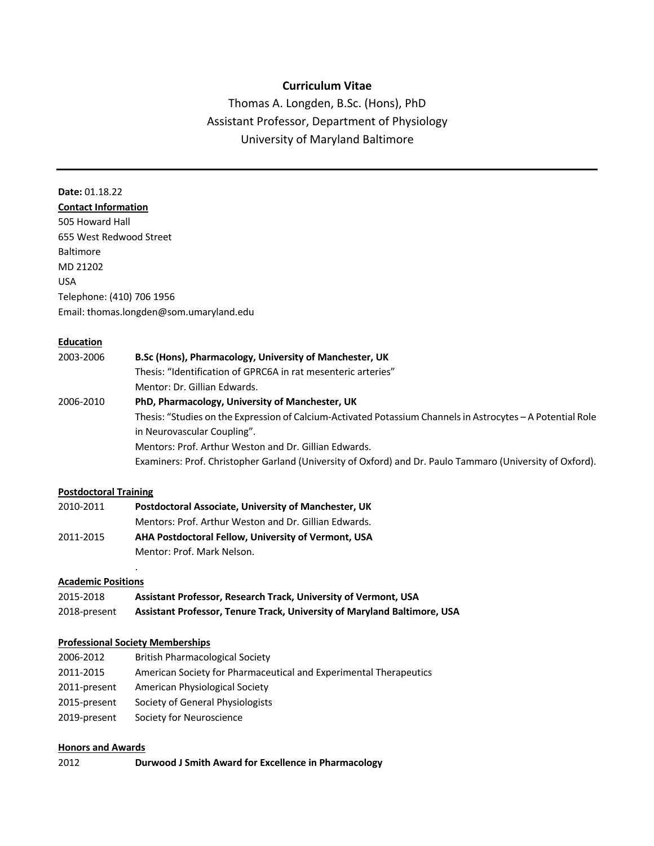## **Curriculum Vitae**

Thomas A. Longden, B.Sc. (Hons), PhD Assistant Professor, Department of Physiology University of Maryland Baltimore

# **Date:** 01.18.22

**Contact Information** 505 Howard Hall 655 West Redwood Street Baltimore MD 21202 USA Telephone: (410) 706 1956 Email: thomas.longden@som.umaryland.edu

#### **Education**

| 2003-2006 | B.Sc (Hons), Pharmacology, University of Manchester, UK                                                     |  |
|-----------|-------------------------------------------------------------------------------------------------------------|--|
|           | Thesis: "Identification of GPRC6A in rat mesenteric arteries"                                               |  |
|           | Mentor: Dr. Gillian Edwards.                                                                                |  |
| 2006-2010 | PhD, Pharmacology, University of Manchester, UK                                                             |  |
|           | Thesis: "Studies on the Expression of Calcium-Activated Potassium Channels in Astrocytes - A Potential Role |  |
|           | in Neurovascular Coupling".                                                                                 |  |
|           | Mentors: Prof. Arthur Weston and Dr. Gillian Edwards.                                                       |  |
|           | Examiners: Prof. Christopher Garland (University of Oxford) and Dr. Paulo Tammaro (University of Oxford).   |  |

#### **Postdoctoral Training**

| 2010-2011 | Postdoctoral Associate, University of Manchester, UK  |
|-----------|-------------------------------------------------------|
|           | Mentors: Prof. Arthur Weston and Dr. Gillian Edwards. |
| 2011-2015 | AHA Postdoctoral Fellow, University of Vermont, USA   |
|           | Mentor: Prof. Mark Nelson.                            |

#### **Academic Positions**

| 2015-2018    | Assistant Professor, Research Track, University of Vermont, USA          |  |  |
|--------------|--------------------------------------------------------------------------|--|--|
| 2018-present | Assistant Professor, Tenure Track, University of Maryland Baltimore, USA |  |  |

#### **Professional Society Memberships**

.

| 2006-2012    | <b>British Pharmacological Society</b>                            |
|--------------|-------------------------------------------------------------------|
| 2011-2015    | American Society for Pharmaceutical and Experimental Therapeutics |
| 2011-present | American Physiological Society                                    |
| 2015-present | Society of General Physiologists                                  |
| 2019-present | Society for Neuroscience                                          |
|              |                                                                   |

#### **Honors and Awards**

| 2012 | Durwood J Smith Award for Excellence in Pharmacology |
|------|------------------------------------------------------|
|------|------------------------------------------------------|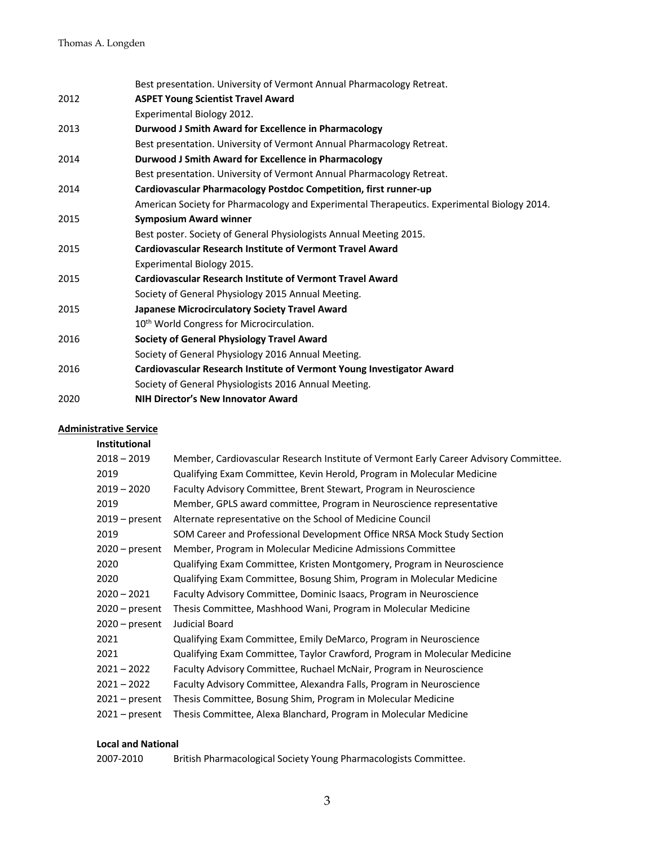|      | Best presentation. University of Vermont Annual Pharmacology Retreat.                       |
|------|---------------------------------------------------------------------------------------------|
| 2012 | <b>ASPET Young Scientist Travel Award</b>                                                   |
|      | Experimental Biology 2012.                                                                  |
| 2013 | Durwood J Smith Award for Excellence in Pharmacology                                        |
|      | Best presentation. University of Vermont Annual Pharmacology Retreat.                       |
| 2014 | Durwood J Smith Award for Excellence in Pharmacology                                        |
|      | Best presentation. University of Vermont Annual Pharmacology Retreat.                       |
| 2014 | Cardiovascular Pharmacology Postdoc Competition, first runner-up                            |
|      | American Society for Pharmacology and Experimental Therapeutics. Experimental Biology 2014. |
| 2015 | <b>Symposium Award winner</b>                                                               |
|      | Best poster. Society of General Physiologists Annual Meeting 2015.                          |
| 2015 | <b>Cardiovascular Research Institute of Vermont Travel Award</b>                            |
|      | Experimental Biology 2015.                                                                  |
| 2015 | <b>Cardiovascular Research Institute of Vermont Travel Award</b>                            |
|      | Society of General Physiology 2015 Annual Meeting.                                          |
| 2015 | Japanese Microcirculatory Society Travel Award                                              |
|      | 10 <sup>th</sup> World Congress for Microcirculation.                                       |
| 2016 | <b>Society of General Physiology Travel Award</b>                                           |
|      | Society of General Physiology 2016 Annual Meeting.                                          |
| 2016 | Cardiovascular Research Institute of Vermont Young Investigator Award                       |
|      | Society of General Physiologists 2016 Annual Meeting.                                       |
| 2020 | <b>NIH Director's New Innovator Award</b>                                                   |

#### **Administrative Service**

| Member, Cardiovascular Research Institute of Vermont Early Career Advisory Committee. |  |  |
|---------------------------------------------------------------------------------------|--|--|
| Qualifying Exam Committee, Kevin Herold, Program in Molecular Medicine                |  |  |
| Faculty Advisory Committee, Brent Stewart, Program in Neuroscience                    |  |  |
| Member, GPLS award committee, Program in Neuroscience representative                  |  |  |
| Alternate representative on the School of Medicine Council                            |  |  |
| SOM Career and Professional Development Office NRSA Mock Study Section                |  |  |
| Member, Program in Molecular Medicine Admissions Committee                            |  |  |
| Qualifying Exam Committee, Kristen Montgomery, Program in Neuroscience                |  |  |
| Qualifying Exam Committee, Bosung Shim, Program in Molecular Medicine                 |  |  |
| Faculty Advisory Committee, Dominic Isaacs, Program in Neuroscience                   |  |  |
| Thesis Committee, Mashhood Wani, Program in Molecular Medicine                        |  |  |
| Judicial Board                                                                        |  |  |
| Qualifying Exam Committee, Emily DeMarco, Program in Neuroscience                     |  |  |
| Qualifying Exam Committee, Taylor Crawford, Program in Molecular Medicine             |  |  |
| Faculty Advisory Committee, Ruchael McNair, Program in Neuroscience                   |  |  |
| Faculty Advisory Committee, Alexandra Falls, Program in Neuroscience                  |  |  |
| Thesis Committee, Bosung Shim, Program in Molecular Medicine                          |  |  |
| Thesis Committee, Alexa Blanchard, Program in Molecular Medicine                      |  |  |
|                                                                                       |  |  |

### **Local and National**

2007-2010 British Pharmacological Society Young Pharmacologists Committee.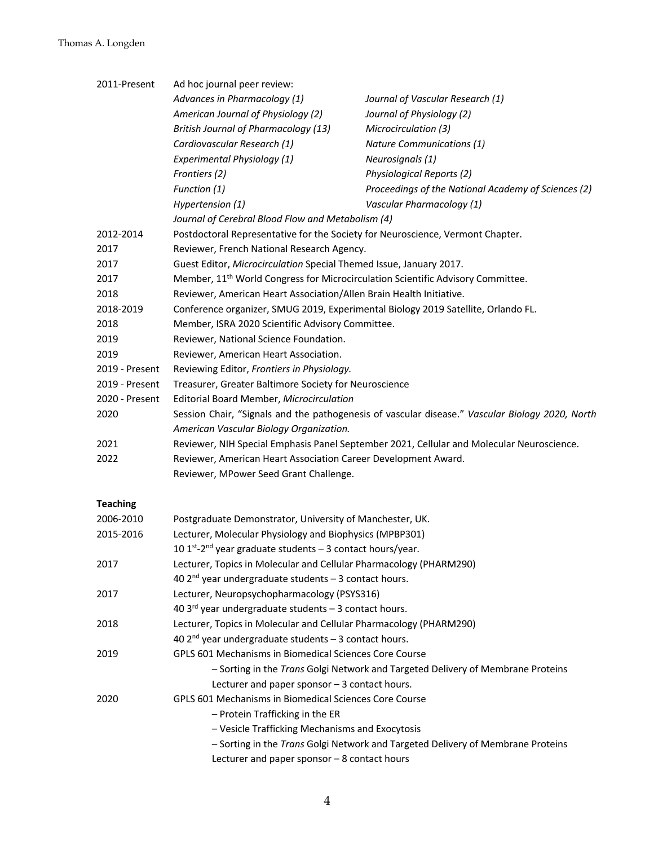# Thomas A. Longden

| 2011-Present                                                               | Ad hoc journal peer review:                                                                                                                |                                                                                 |  |  |
|----------------------------------------------------------------------------|--------------------------------------------------------------------------------------------------------------------------------------------|---------------------------------------------------------------------------------|--|--|
|                                                                            | Advances in Pharmacology (1)                                                                                                               | Journal of Vascular Research (1)                                                |  |  |
|                                                                            | American Journal of Physiology (2)                                                                                                         | Journal of Physiology (2)                                                       |  |  |
|                                                                            | <b>British Journal of Pharmacology (13)</b>                                                                                                | Microcirculation (3)                                                            |  |  |
|                                                                            | Cardiovascular Research (1)                                                                                                                | Nature Communications (1)                                                       |  |  |
|                                                                            | Experimental Physiology (1)                                                                                                                | Neurosignals (1)                                                                |  |  |
|                                                                            | Frontiers (2)                                                                                                                              | Physiological Reports (2)                                                       |  |  |
|                                                                            | Function (1)                                                                                                                               | Proceedings of the National Academy of Sciences (2)                             |  |  |
|                                                                            | Hypertension (1)                                                                                                                           | Vascular Pharmacology (1)                                                       |  |  |
|                                                                            | Journal of Cerebral Blood Flow and Metabolism (4)                                                                                          |                                                                                 |  |  |
| 2012-2014                                                                  | Postdoctoral Representative for the Society for Neuroscience, Vermont Chapter.                                                             |                                                                                 |  |  |
| 2017                                                                       | Reviewer, French National Research Agency.                                                                                                 |                                                                                 |  |  |
| 2017                                                                       | Guest Editor, Microcirculation Special Themed Issue, January 2017.                                                                         |                                                                                 |  |  |
| 2017                                                                       | Member, 11 <sup>th</sup> World Congress for Microcirculation Scientific Advisory Committee.                                                |                                                                                 |  |  |
| 2018                                                                       | Reviewer, American Heart Association/Allen Brain Health Initiative.                                                                        |                                                                                 |  |  |
| 2018-2019                                                                  | Conference organizer, SMUG 2019, Experimental Biology 2019 Satellite, Orlando FL.                                                          |                                                                                 |  |  |
| 2018                                                                       | Member, ISRA 2020 Scientific Advisory Committee.                                                                                           |                                                                                 |  |  |
| 2019                                                                       | Reviewer, National Science Foundation.                                                                                                     |                                                                                 |  |  |
| 2019                                                                       | Reviewer, American Heart Association.                                                                                                      |                                                                                 |  |  |
| 2019 - Present                                                             | Reviewing Editor, Frontiers in Physiology.                                                                                                 |                                                                                 |  |  |
| 2019 - Present                                                             |                                                                                                                                            |                                                                                 |  |  |
| 2020 - Present                                                             | Treasurer, Greater Baltimore Society for Neuroscience<br>Editorial Board Member, Microcirculation                                          |                                                                                 |  |  |
| 2020                                                                       |                                                                                                                                            |                                                                                 |  |  |
|                                                                            | Session Chair, "Signals and the pathogenesis of vascular disease." Vascular Biology 2020, North<br>American Vascular Biology Organization. |                                                                                 |  |  |
| 2021                                                                       | Reviewer, NIH Special Emphasis Panel September 2021, Cellular and Molecular Neuroscience.                                                  |                                                                                 |  |  |
| 2022                                                                       | Reviewer, American Heart Association Career Development Award.<br>Reviewer, MPower Seed Grant Challenge.                                   |                                                                                 |  |  |
|                                                                            |                                                                                                                                            |                                                                                 |  |  |
|                                                                            |                                                                                                                                            |                                                                                 |  |  |
| <b>Teaching</b>                                                            |                                                                                                                                            |                                                                                 |  |  |
| 2006-2010                                                                  | Postgraduate Demonstrator, University of Manchester, UK.                                                                                   |                                                                                 |  |  |
| 2015-2016                                                                  | Lecturer, Molecular Physiology and Biophysics (MPBP301)                                                                                    |                                                                                 |  |  |
|                                                                            | 10 1st-2 <sup>nd</sup> year graduate students - 3 contact hours/year.                                                                      |                                                                                 |  |  |
| Lecturer, Topics in Molecular and Cellular Pharmacology (PHARM290)<br>2017 |                                                                                                                                            |                                                                                 |  |  |
|                                                                            | 40 $2^{nd}$ year undergraduate students $-$ 3 contact hours.                                                                               |                                                                                 |  |  |
| 2017                                                                       | Lecturer, Neuropsychopharmacology (PSYS316)                                                                                                |                                                                                 |  |  |
|                                                                            | 40 $3^{\text{rd}}$ year undergraduate students $-$ 3 contact hours.                                                                        |                                                                                 |  |  |
| 2018                                                                       | Lecturer, Topics in Molecular and Cellular Pharmacology (PHARM290)                                                                         |                                                                                 |  |  |
|                                                                            | 40 $2^{nd}$ year undergraduate students - 3 contact hours.                                                                                 |                                                                                 |  |  |
| 2019                                                                       | GPLS 601 Mechanisms in Biomedical Sciences Core Course                                                                                     |                                                                                 |  |  |
|                                                                            | - Sorting in the Trans Golgi Network and Targeted Delivery of Membrane Proteins                                                            |                                                                                 |  |  |
|                                                                            | Lecturer and paper sponsor $-3$ contact hours.                                                                                             |                                                                                 |  |  |
| 2020                                                                       | GPLS 601 Mechanisms in Biomedical Sciences Core Course                                                                                     |                                                                                 |  |  |
|                                                                            | - Protein Trafficking in the ER                                                                                                            |                                                                                 |  |  |
|                                                                            | - Vesicle Trafficking Mechanisms and Exocytosis                                                                                            |                                                                                 |  |  |
|                                                                            |                                                                                                                                            | - Sorting in the Trans Golgi Network and Targeted Delivery of Membrane Proteins |  |  |
|                                                                            |                                                                                                                                            |                                                                                 |  |  |
|                                                                            | Lecturer and paper sponsor $-8$ contact hours                                                                                              |                                                                                 |  |  |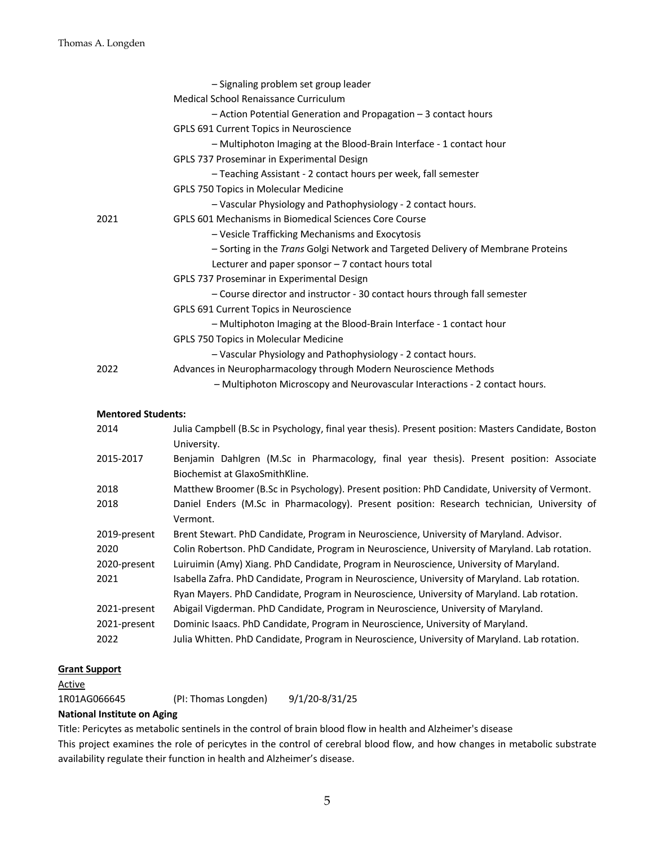|      | - Signaling problem set group leader                                            |
|------|---------------------------------------------------------------------------------|
|      | Medical School Renaissance Curriculum                                           |
|      | - Action Potential Generation and Propagation - 3 contact hours                 |
|      | GPLS 691 Current Topics in Neuroscience                                         |
|      | - Multiphoton Imaging at the Blood-Brain Interface - 1 contact hour             |
|      | GPLS 737 Proseminar in Experimental Design                                      |
|      | - Teaching Assistant - 2 contact hours per week, fall semester                  |
|      | <b>GPLS 750 Topics in Molecular Medicine</b>                                    |
|      | - Vascular Physiology and Pathophysiology - 2 contact hours.                    |
| 2021 | GPLS 601 Mechanisms in Biomedical Sciences Core Course                          |
|      | - Vesicle Trafficking Mechanisms and Exocytosis                                 |
|      | - Sorting in the Trans Golgi Network and Targeted Delivery of Membrane Proteins |
|      | Lecturer and paper sponsor - 7 contact hours total                              |
|      | GPLS 737 Proseminar in Experimental Design                                      |
|      | - Course director and instructor - 30 contact hours through fall semester       |
|      | GPLS 691 Current Topics in Neuroscience                                         |
|      | - Multiphoton Imaging at the Blood-Brain Interface - 1 contact hour             |
|      | <b>GPLS 750 Topics in Molecular Medicine</b>                                    |
|      | - Vascular Physiology and Pathophysiology - 2 contact hours.                    |
| 2022 | Advances in Neuropharmacology through Modern Neuroscience Methods               |
|      | - Multiphoton Microscopy and Neurovascular Interactions - 2 contact hours.      |
|      |                                                                                 |

#### **Mentored Students:**

| 2014         | Julia Campbell (B.Sc in Psychology, final year thesis). Present position: Masters Candidate, Boston<br>University.         |  |  |
|--------------|----------------------------------------------------------------------------------------------------------------------------|--|--|
| 2015-2017    | Benjamin Dahlgren (M.Sc in Pharmacology, final year thesis). Present position: Associate<br>Biochemist at GlaxoSmithKline. |  |  |
| 2018         | Matthew Broomer (B.Sc in Psychology). Present position: PhD Candidate, University of Vermont.                              |  |  |
| 2018         | Daniel Enders (M.Sc in Pharmacology). Present position: Research technician, University of<br>Vermont.                     |  |  |
| 2019-present | Brent Stewart. PhD Candidate, Program in Neuroscience, University of Maryland. Advisor.                                    |  |  |
| 2020         | Colin Robertson. PhD Candidate, Program in Neuroscience, University of Maryland. Lab rotation.                             |  |  |
| 2020-present | Luiruimin (Amy) Xiang. PhD Candidate, Program in Neuroscience, University of Maryland.                                     |  |  |
| 2021         | Isabella Zafra. PhD Candidate, Program in Neuroscience, University of Maryland. Lab rotation.                              |  |  |
|              | Ryan Mayers. PhD Candidate, Program in Neuroscience, University of Maryland. Lab rotation.                                 |  |  |
| 2021-present | Abigail Vigderman. PhD Candidate, Program in Neuroscience, University of Maryland.                                         |  |  |
| 2021-present | Dominic Isaacs. PhD Candidate, Program in Neuroscience, University of Maryland.                                            |  |  |
| 2022         | Julia Whitten. PhD Candidate, Program in Neuroscience, University of Maryland. Lab rotation.                               |  |  |

#### **Grant Support**

| 1R01AG066645 | (PI: Thomas Longden) | 9/1/20-8/31/25 |
|--------------|----------------------|----------------|
|              |                      |                |

#### **National Institute on Aging**

Title: Pericytes as metabolic sentinels in the control of brain blood flow in health and Alzheimer's disease

This project examines the role of pericytes in the control of cerebral blood flow, and how changes in metabolic substrate availability regulate their function in health and Alzheimer's disease.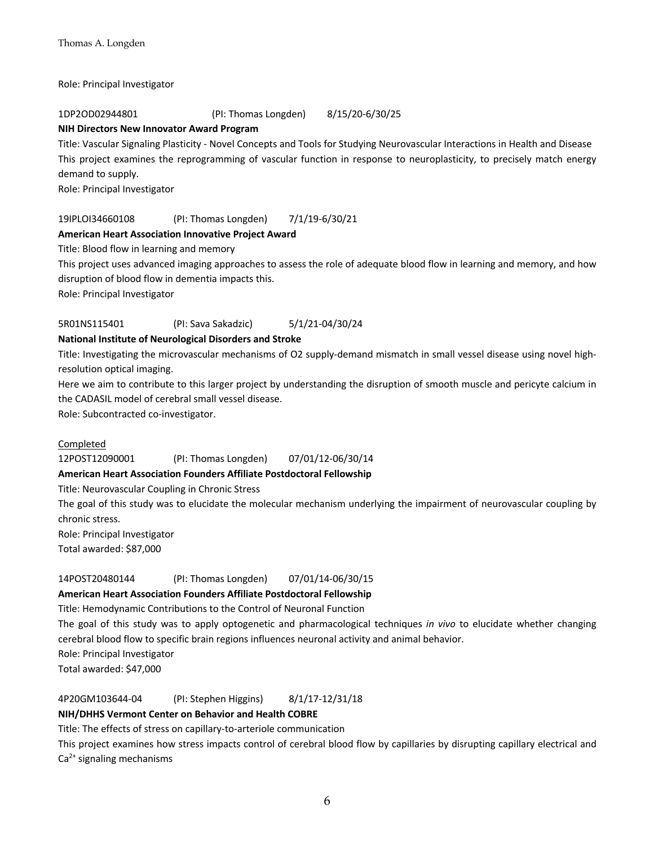Role: Principal Investigator

#### 1DP2OD02944801 (PI: Thomas Longden) 8/15/20-6/30/25

# **NIH Directors New Innovator Award Program**

Title: Vascular Signaling Plasticity - Novel Concepts and Tools for Studying Neurovascular Interactions in Health and Disease This project examines the reprogramming of vascular function in response to neuroplasticity, to precisely match energy demand to supply.

Role: Principal Investigator

#### 19IPLOI34660108 (PI: Thomas Longden) 7/1/19-6/30/21

#### **American Heart Association Innovative Project Award**

Title: Blood flow in learning and memory

This project uses advanced imaging approaches to assess the role of adequate blood flow in learning and memory, and how disruption of blood flow in dementia impacts this.

Role: Principal Investigator

#### 5R01NS115401 (PI: Sava Sakadzic) 5/1/21-04/30/24

#### **National Institute of Neurological Disorders and Stroke**

Title: Investigating the microvascular mechanisms of O2 supply-demand mismatch in small vessel disease using novel highresolution optical imaging.

Here we aim to contribute to this larger project by understanding the disruption of smooth muscle and pericyte calcium in the CADASIL model of cerebral small vessel disease.

Role: Subcontracted co-investigator.

#### Completed

12POST12090001 (PI: Thomas Longden) 07/01/12-06/30/14

#### **American Heart Association Founders Affiliate Postdoctoral Fellowship**

Title: Neurovascular Coupling in Chronic Stress

The goal of this study was to elucidate the molecular mechanism underlying the impairment of neurovascular coupling by chronic stress.

Role: Principal Investigator

Total awarded: \$87,000

#### 14POST20480144 (PI: Thomas Longden) 07/01/14-06/30/15

# **American Heart Association Founders Affiliate Postdoctoral Fellowship**

Title: Hemodynamic Contributions to the Control of Neuronal Function

The goal of this study was to apply optogenetic and pharmacological techniques *in vivo* to elucidate whether changing cerebral blood flow to specific brain regions influences neuronal activity and animal behavior.

Role: Principal Investigator

Total awarded: \$47,000

# 4P20GM103644-04 (PI: Stephen Higgins) 8/1/17-12/31/18

## **NIH/DHHS Vermont Center on Behavior and Health COBRE**

Title: The effects of stress on capillary-to-arteriole communication

This project examines how stress impacts control of cerebral blood flow by capillaries by disrupting capillary electrical and  $Ca<sup>2+</sup>$  signaling mechanisms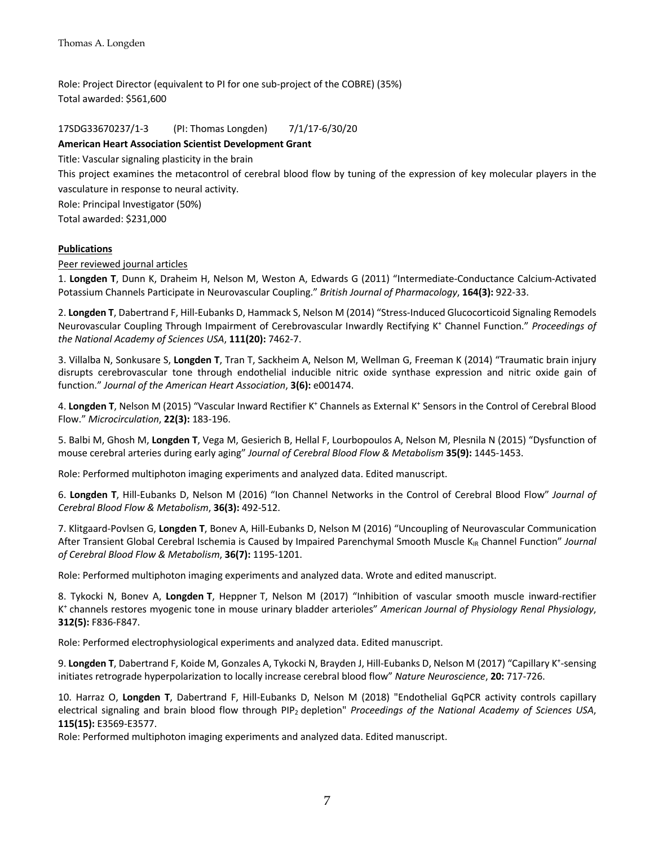Role: Project Director (equivalent to PI for one sub-project of the COBRE) (35%) Total awarded: \$561,600

17SDG33670237/1-3 (PI: Thomas Longden) 7/1/17-6/30/20

#### **American Heart Association Scientist Development Grant**

Title: Vascular signaling plasticity in the brain

This project examines the metacontrol of cerebral blood flow by tuning of the expression of key molecular players in the vasculature in response to neural activity.

Role: Principal Investigator (50%)

Total awarded: \$231,000

#### **Publications**

Peer reviewed journal articles

1. **Longden T**, Dunn K, Draheim H, Nelson M, Weston A, Edwards G (2011) "Intermediate-Conductance Calcium-Activated Potassium Channels Participate in Neurovascular Coupling." *British Journal of Pharmacology*, **164(3):** 922-33.

2. **Longden T**, Dabertrand F, Hill-Eubanks D, Hammack S, Nelson M (2014) "Stress-Induced Glucocorticoid Signaling Remodels Neurovascular Coupling Through Impairment of Cerebrovascular Inwardly Rectifying K+ Channel Function." *Proceedings of the National Academy of Sciences USA*, **111(20):** 7462-7.

3. Villalba N, Sonkusare S, **Longden T**, Tran T, Sackheim A, Nelson M, Wellman G, Freeman K (2014) "Traumatic brain injury disrupts cerebrovascular tone through endothelial inducible nitric oxide synthase expression and nitric oxide gain of function." *Journal of the American Heart Association*, **3(6):** e001474.

4. Longden T, Nelson M (2015) "Vascular Inward Rectifier K<sup>+</sup> Channels as External K<sup>+</sup> Sensors in the Control of Cerebral Blood Flow." *Microcirculation*, **22(3):** 183-196.

5. Balbi M, Ghosh M, **Longden T**, Vega M, Gesierich B, Hellal F, Lourbopoulos A, Nelson M, Plesnila N (2015) "Dysfunction of mouse cerebral arteries during early aging" *Journal of Cerebral Blood Flow & Metabolism* **35(9):** 1445-1453.

Role: Performed multiphoton imaging experiments and analyzed data. Edited manuscript.

6. **Longden T**, Hill-Eubanks D, Nelson M (2016) "Ion Channel Networks in the Control of Cerebral Blood Flow" *Journal of Cerebral Blood Flow & Metabolism*, **36(3):** 492-512.

7. Klitgaard-Povlsen G, **Longden T**, Bonev A, Hill-Eubanks D, Nelson M (2016) "Uncoupling of Neurovascular Communication After Transient Global Cerebral Ischemia is Caused by Impaired Parenchymal Smooth Muscle K<sub>IR</sub> Channel Function" *Journal of Cerebral Blood Flow & Metabolism*, **36(7):** 1195-1201.

Role: Performed multiphoton imaging experiments and analyzed data. Wrote and edited manuscript.

8. Tykocki N, Bonev A, **Longden T**, Heppner T, Nelson M (2017) "Inhibition of vascular smooth muscle inward-rectifier K+ channels restores myogenic tone in mouse urinary bladder arterioles" *American Journal of Physiology Renal Physiology*, **312(5):** F836-F847.

Role: Performed electrophysiological experiments and analyzed data. Edited manuscript.

9. Longden T, Dabertrand F, Koide M, Gonzales A, Tykocki N, Brayden J, Hill-Eubanks D, Nelson M (2017) "Capillary K<sup>+</sup>-sensing initiates retrograde hyperpolarization to locally increase cerebral blood flow" *Nature Neuroscience*, **20:** 717-726.

10. Harraz O, **Longden T**, Dabertrand F, Hill-Eubanks D, Nelson M (2018) "Endothelial GqPCR activity controls capillary electrical signaling and brain blood flow through PIP2 depletion" *Proceedings of the National Academy of Sciences USA*, **115(15):** E3569-E3577.

Role: Performed multiphoton imaging experiments and analyzed data. Edited manuscript.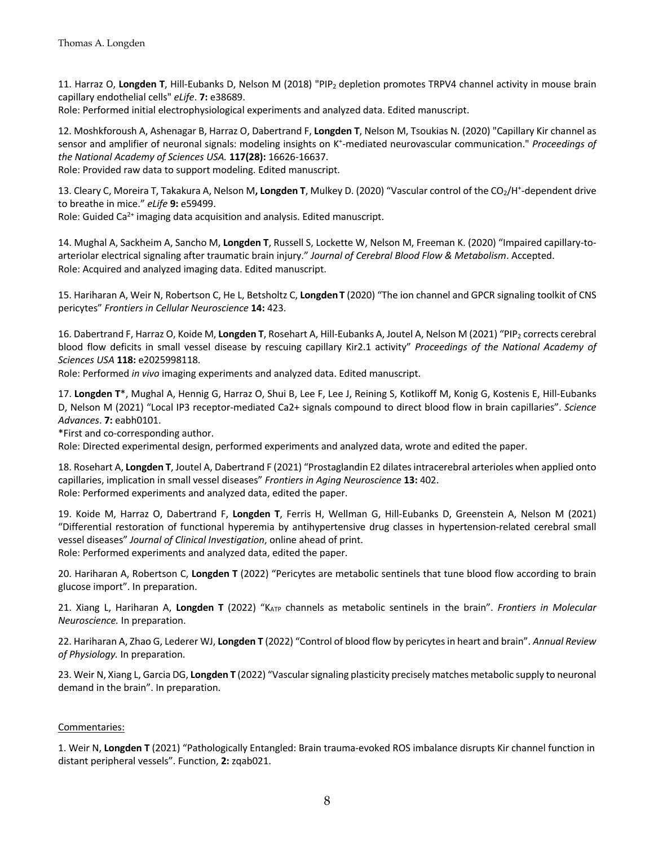11. Harraz O, **Longden T**, Hill-Eubanks D, Nelson M (2018) "PIP2 depletion promotes TRPV4 channel activity in mouse brain capillary endothelial cells" *eLife*. **7:** e38689.

Role: Performed initial electrophysiological experiments and analyzed data. Edited manuscript.

12. Moshkforoush A, Ashenagar B, Harraz O, Dabertrand F, **Longden T**, Nelson M, Tsoukias N. (2020) "Capillary Kir channel as sensor and amplifier of neuronal signals: modeling insights on K<sup>+</sup>-mediated neurovascular communication." *Proceedings of the National Academy of Sciences USA.* **117(28):** 16626-16637.

Role: Provided raw data to support modeling. Edited manuscript.

13. Cleary C, Moreira T, Takakura A, Nelson M, Longden T, Mulkey D. (2020) "Vascular control of the CO<sub>2</sub>/H<sup>+</sup>-dependent drive to breathe in mice." *eLife* **9:** e59499.

Role: Guided Ca<sup>2+</sup> imaging data acquisition and analysis. Edited manuscript.

14. Mughal A, Sackheim A, Sancho M, **Longden T**, Russell S, Lockette W, Nelson M, Freeman K. (2020) "Impaired capillary-toarteriolar electrical signaling after traumatic brain injury." *Journal of Cerebral Blood Flow & Metabolism*. Accepted. Role: Acquired and analyzed imaging data. Edited manuscript.

15. Hariharan A, Weir N, Robertson C, He L, Betsholtz C, **LongdenT** (2020) "The ion channel and GPCR signaling toolkit of CNS pericytes" *Frontiers in Cellular Neuroscience* **14:** 423.

16. Dabertrand F, Harraz O, Koide M, **Longden T**, Rosehart A, Hill-Eubanks A, Joutel A, Nelson M (2021) "PIP2 corrects cerebral blood flow deficits in small vessel disease by rescuing capillary Kir2.1 activity" *Proceedings of the National Academy of Sciences USA* **118:** e2025998118.

Role: Performed *in vivo* imaging experiments and analyzed data. Edited manuscript.

17. **Longden T**\*, Mughal A, Hennig G, Harraz O, Shui B, Lee F, Lee J, Reining S, Kotlikoff M, Konig G, Kostenis E, Hill-Eubanks D, Nelson M (2021) "Local IP3 receptor-mediated Ca2+ signals compound to direct blood flow in brain capillaries". *Science Advances*. **7:** eabh0101.

\*First and co-corresponding author.

Role: Directed experimental design, performed experiments and analyzed data, wrote and edited the paper.

18. Rosehart A, **Longden T**, Joutel A, Dabertrand F (2021) "Prostaglandin E2 dilates intracerebral arterioles when applied onto capillaries, implication in small vessel diseases" *Frontiers in Aging Neuroscience* **13:** 402. Role: Performed experiments and analyzed data, edited the paper.

19. Koide M, Harraz O, Dabertrand F, **Longden T**, Ferris H, Wellman G, Hill-Eubanks D, Greenstein A, Nelson M (2021) "Differential restoration of functional hyperemia by antihypertensive drug classes in hypertension-related cerebral small vessel diseases" *Journal of Clinical Investigation*, online ahead of print. Role: Performed experiments and analyzed data, edited the paper.

20. Hariharan A, Robertson C, **Longden T** (2022) "Pericytes are metabolic sentinels that tune blood flow according to brain glucose import". In preparation.

21. Xiang L, Hariharan A, **Longden T** (2022) "KATP channels as metabolic sentinels in the brain". *Frontiers in Molecular Neuroscience.* In preparation.

22. Hariharan A, Zhao G, Lederer WJ, **Longden T** (2022) "Control of blood flow by pericytes in heart and brain". *Annual Review of Physiology.* In preparation.

23. Weir N, Xiang L, Garcia DG, **Longden T** (2022) "Vascular signaling plasticity precisely matches metabolic supply to neuronal demand in the brain". In preparation.

#### Commentaries:

1. Weir N, **Longden T** (2021) "Pathologically Entangled: Brain trauma-evoked ROS imbalance disrupts Kir channel function in distant peripheral vessels". Function, **2:** zqab021.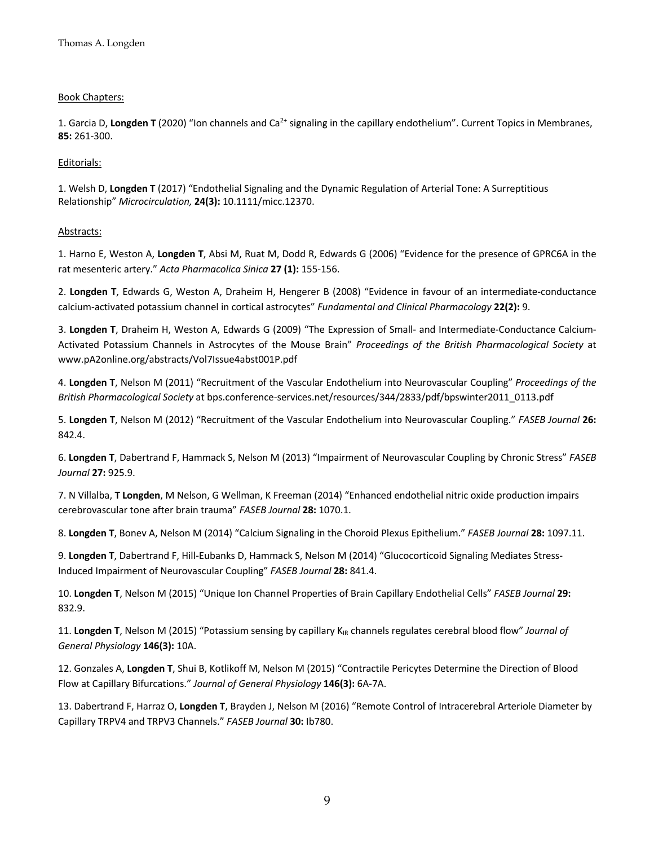#### Book Chapters:

1. Garcia D, Longden T (2020) "Ion channels and Ca<sup>2+</sup> signaling in the capillary endothelium". Current Topics in Membranes, **85:** 261-300.

#### Editorials:

1. Welsh D, **Longden T** (2017) "Endothelial Signaling and the Dynamic Regulation of Arterial Tone: A Surreptitious Relationship" *Microcirculation,* **24(3):** 10.1111/micc.12370.

#### Abstracts:

1. Harno E, Weston A, **Longden T**, Absi M, Ruat M, Dodd R, Edwards G (2006) "Evidence for the presence of GPRC6A in the rat mesenteric artery." *Acta Pharmacolica Sinica* **27 (1):** 155-156.

2. **Longden T**, Edwards G, Weston A, Draheim H, Hengerer B (2008) "Evidence in favour of an intermediate-conductance calcium-activated potassium channel in cortical astrocytes" *Fundamental and Clinical Pharmacology* **22(2):** 9.

3. **Longden T**, Draheim H, Weston A, Edwards G (2009) "The Expression of Small- and Intermediate-Conductance Calcium-Activated Potassium Channels in Astrocytes of the Mouse Brain" *Proceedings of the British Pharmacological Society* at www.pA2online.org/abstracts/Vol7Issue4abst001P.pdf

4. **Longden T**, Nelson M (2011) "Recruitment of the Vascular Endothelium into Neurovascular Coupling" *Proceedings of the British Pharmacological Society* at bps.conference-services.net/resources/344/2833/pdf/bpswinter2011\_0113.pdf

5. **Longden T**, Nelson M (2012) "Recruitment of the Vascular Endothelium into Neurovascular Coupling." *FASEB Journal* **26:**  842.4.

6. **Longden T**, Dabertrand F, Hammack S, Nelson M (2013) "Impairment of Neurovascular Coupling by Chronic Stress" *FASEB Journal* **27:** 925.9.

7. N Villalba, **T Longden**, M Nelson, G Wellman, K Freeman (2014) "Enhanced endothelial nitric oxide production impairs cerebrovascular tone after brain trauma" *FASEB Journal* **28:** 1070.1.

8. **Longden T**, Bonev A, Nelson M (2014) "Calcium Signaling in the Choroid Plexus Epithelium." *FASEB Journal* **28:** 1097.11.

9. **Longden T**, Dabertrand F, Hill-Eubanks D, Hammack S, Nelson M (2014) "Glucocorticoid Signaling Mediates Stress-Induced Impairment of Neurovascular Coupling" *FASEB Journal* **28:** 841.4.

10. **Longden T**, Nelson M (2015) "Unique Ion Channel Properties of Brain Capillary Endothelial Cells" *FASEB Journal* **29:** 832.9.

11. Longden T, Nelson M (2015) "Potassium sensing by capillary K<sub>IR</sub> channels regulates cerebral blood flow" *Journal of General Physiology* **146(3):** 10A.

12. Gonzales A, **Longden T**, Shui B, Kotlikoff M, Nelson M (2015) "Contractile Pericytes Determine the Direction of Blood Flow at Capillary Bifurcations." *Journal of General Physiology* **146(3):** 6A-7A.

13. Dabertrand F, Harraz O, **Longden T**, Brayden J, Nelson M (2016) "Remote Control of Intracerebral Arteriole Diameter by Capillary TRPV4 and TRPV3 Channels." *FASEB Journal* **30:** Ib780.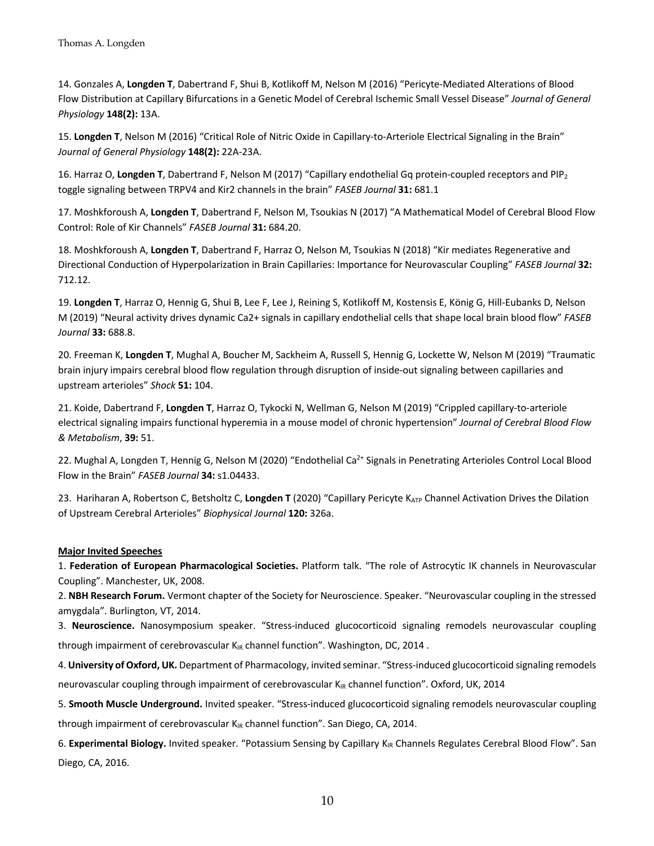14. Gonzales A, **Longden T**, Dabertrand F, Shui B, Kotlikoff M, Nelson M (2016) "Pericyte-Mediated Alterations of Blood Flow Distribution at Capillary Bifurcations in a Genetic Model of Cerebral Ischemic Small Vessel Disease" *Journal of General Physiology* **148(2):** 13A.

15. **Longden T**, Nelson M (2016) "Critical Role of Nitric Oxide in Capillary-to-Arteriole Electrical Signaling in the Brain" *Journal of General Physiology* **148(2):** 22A-23A.

16. Harraz O, **Longden T**, Dabertrand F, Nelson M (2017) "Capillary endothelial Gq protein-coupled receptors and PIP2 toggle signaling between TRPV4 and Kir2 channels in the brain" *FASEB Journal* **31:** 681.1

17. Moshkforoush A, **Longden T**, Dabertrand F, Nelson M, Tsoukias N (2017) "A Mathematical Model of Cerebral Blood Flow Control: Role of Kir Channels" *FASEB Journal* **31:** 684.20.

18. Moshkforoush A, **Longden T**, Dabertrand F, Harraz O, Nelson M, Tsoukias N (2018) "Kir mediates Regenerative and Directional Conduction of Hyperpolarization in Brain Capillaries: Importance for Neurovascular Coupling" *FASEB Journal* **32:** 712.12.

19. **Longden T**, Harraz O, Hennig G, Shui B, Lee F, Lee J, Reining S, Kotlikoff M, Kostensis E, König G, Hill-Eubanks D, Nelson M (2019) "Neural activity drives dynamic Ca2+ signals in capillary endothelial cells that shape local brain blood flow" *FASEB Journal* **33:** 688.8.

20. Freeman K, **Longden T**, Mughal A, Boucher M, Sackheim A, Russell S, Hennig G, Lockette W, Nelson M (2019) "Traumatic brain injury impairs cerebral blood flow regulation through disruption of inside-out signaling between capillaries and upstream arterioles" *Shock* **51:** 104.

21. Koide, Dabertrand F, **Longden T**, Harraz O, Tykocki N, Wellman G, Nelson M (2019) "Crippled capillary-to-arteriole electrical signaling impairs functional hyperemia in a mouse model of chronic hypertension" *Journal of Cerebral Blood Flow & Metabolism*, **39:** 51.

22. Mughal A, Longden T, Hennig G, Nelson M (2020) "Endothelial Ca<sup>2+</sup> Signals in Penetrating Arterioles Control Local Blood Flow in the Brain" *FASEB Journal* **34:** s1.04433.

23. Hariharan A, Robertson C, Betsholtz C, Longden T (2020) "Capillary Pericyte K<sub>ATP</sub> Channel Activation Drives the Dilation of Upstream Cerebral Arterioles" *Biophysical Journal* **120:** 326a.

#### **Major Invited Speeches**

1. **Federation of European Pharmacological Societies.** Platform talk. "The role of Astrocytic IK channels in Neurovascular Coupling". Manchester, UK, 2008.

2. **NBH Research Forum.** Vermont chapter of the Society for Neuroscience. Speaker. "Neurovascular coupling in the stressed amygdala". Burlington, VT, 2014.

3. **Neuroscience.** Nanosymposium speaker. "Stress-induced glucocorticoid signaling remodels neurovascular coupling through impairment of cerebrovascular K<sub>IR</sub> channel function". Washington, DC, 2014.

4. **University of Oxford, UK.** Department of Pharmacology, invited seminar. "Stress-induced glucocorticoid signaling remodels neurovascular coupling through impairment of cerebrovascular  $K_{IR}$  channel function". Oxford, UK, 2014

5. **Smooth Muscle Underground.** Invited speaker. "Stress-induced glucocorticoid signaling remodels neurovascular coupling through impairment of cerebrovascular  $K_{IR}$  channel function". San Diego, CA, 2014.

6. Experimental Biology. Invited speaker. "Potassium Sensing by Capillary K<sub>IR</sub> Channels Regulates Cerebral Blood Flow". San Diego, CA, 2016.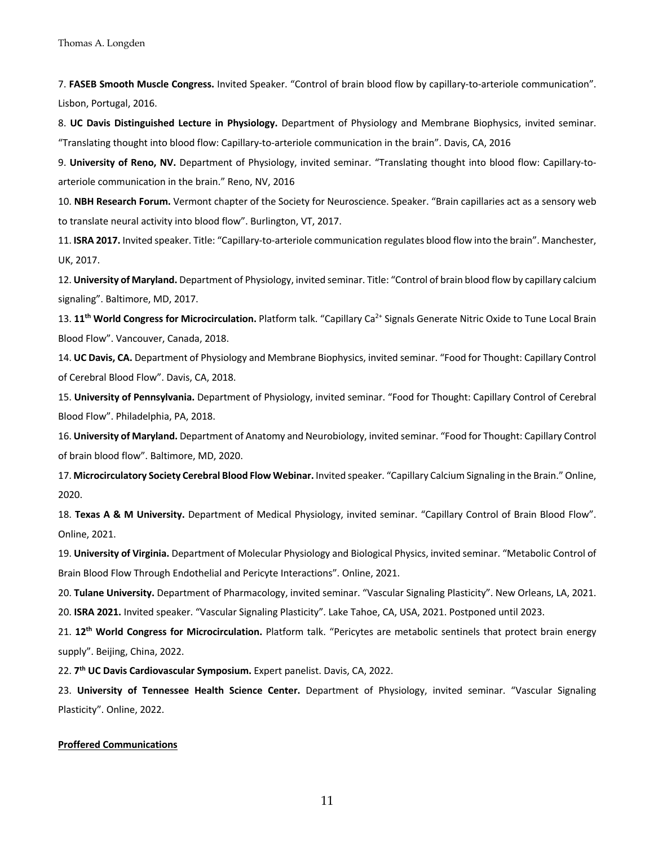7. **FASEB Smooth Muscle Congress.** Invited Speaker. "Control of brain blood flow by capillary-to-arteriole communication". Lisbon, Portugal, 2016.

8. **UC Davis Distinguished Lecture in Physiology.** Department of Physiology and Membrane Biophysics, invited seminar. "Translating thought into blood flow: Capillary-to-arteriole communication in the brain". Davis, CA, 2016

9. **University of Reno, NV.** Department of Physiology, invited seminar. "Translating thought into blood flow: Capillary-toarteriole communication in the brain." Reno, NV, 2016

10. **NBH Research Forum.** Vermont chapter of the Society for Neuroscience. Speaker. "Brain capillaries act as a sensory web to translate neural activity into blood flow". Burlington, VT, 2017.

11. **ISRA 2017.** Invited speaker. Title: "Capillary-to-arteriole communication regulates blood flow into the brain". Manchester, UK, 2017.

12. **University of Maryland.** Department of Physiology, invited seminar. Title: "Control of brain blood flow by capillary calcium signaling". Baltimore, MD, 2017.

13. **11th World Congress for Microcirculation.** Platform talk. "Capillary Ca2+ Signals Generate Nitric Oxide to Tune Local Brain Blood Flow". Vancouver, Canada, 2018.

14. **UC Davis, CA.** Department of Physiology and Membrane Biophysics, invited seminar. "Food for Thought: Capillary Control of Cerebral Blood Flow". Davis, CA, 2018.

15. **University of Pennsylvania.** Department of Physiology, invited seminar. "Food for Thought: Capillary Control of Cerebral Blood Flow". Philadelphia, PA, 2018.

16. **University of Maryland.** Department of Anatomy and Neurobiology, invited seminar. "Food for Thought: Capillary Control of brain blood flow". Baltimore, MD, 2020.

17. **Microcirculatory Society Cerebral Blood Flow Webinar.** Invited speaker. "Capillary Calcium Signaling in the Brain." Online, 2020.

18. **Texas A & M University.** Department of Medical Physiology, invited seminar. "Capillary Control of Brain Blood Flow". Online, 2021.

19. **University of Virginia.** Department of Molecular Physiology and Biological Physics, invited seminar. "Metabolic Control of Brain Blood Flow Through Endothelial and Pericyte Interactions". Online, 2021.

20. **Tulane University.** Department of Pharmacology, invited seminar. "Vascular Signaling Plasticity". New Orleans, LA, 2021.

20. **ISRA 2021.** Invited speaker. "Vascular Signaling Plasticity". Lake Tahoe, CA, USA, 2021. Postponed until 2023.

21. **12th World Congress for Microcirculation.** Platform talk. "Pericytes are metabolic sentinels that protect brain energy supply". Beijing, China, 2022.

22. **7th UC Davis Cardiovascular Symposium.** Expert panelist. Davis, CA, 2022.

23. **University of Tennessee Health Science Center.** Department of Physiology, invited seminar. "Vascular Signaling Plasticity". Online, 2022.

#### **Proffered Communications**